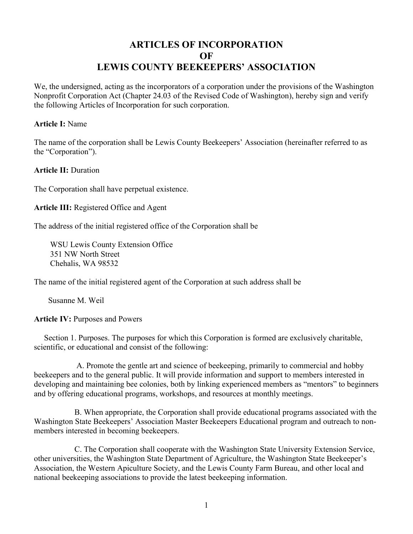# **ARTICLES OF INCORPORATION OF LEWIS COUNTY BEEKEEPERS' ASSOCIATION**

We, the undersigned, acting as the incorporators of a corporation under the provisions of the Washington Nonprofit Corporation Act (Chapter 24.03 of the Revised Code of Washington), hereby sign and verify the following Articles of Incorporation for such corporation.

# **Article I:** Name

The name of the corporation shall be Lewis County Beekeepers' Association (hereinafter referred to as the "Corporation").

**Article II:** Duration

The Corporation shall have perpetual existence.

**Article III:** Registered Office and Agent

The address of the initial registered office of the Corporation shall be

 WSU Lewis County Extension Office 351 NW North Street Chehalis, WA 98532

The name of the initial registered agent of the Corporation at such address shall be

Susanne M. Weil

**Article IV:** Purposes and Powers

 Section 1. Purposes. The purposes for which this Corporation is formed are exclusively charitable, scientific, or educational and consist of the following:

 A. Promote the gentle art and science of beekeeping, primarily to commercial and hobby beekeepers and to the general public. It will provide information and support to members interested in developing and maintaining bee colonies, both by linking experienced members as "mentors" to beginners and by offering educational programs, workshops, and resources at monthly meetings.

 B. When appropriate, the Corporation shall provide educational programs associated with the Washington State Beekeepers' Association Master Beekeepers Educational program and outreach to nonmembers interested in becoming beekeepers.

 C. The Corporation shall cooperate with the Washington State University Extension Service, other universities, the Washington State Department of Agriculture, the Washington State Beekeeper's Association, the Western Apiculture Society, and the Lewis County Farm Bureau, and other local and national beekeeping associations to provide the latest beekeeping information.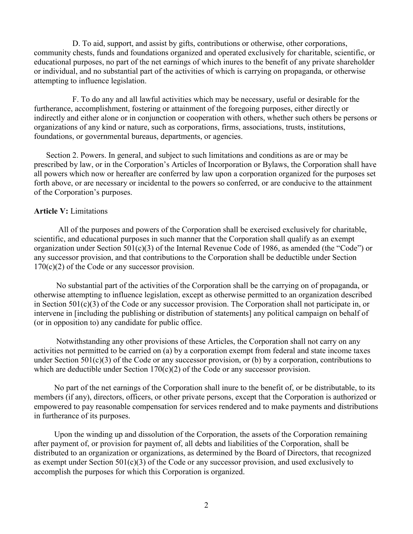D. To aid, support, and assist by gifts, contributions or otherwise, other corporations, community chests, funds and foundations organized and operated exclusively for charitable, scientific, or educational purposes, no part of the net earnings of which inures to the benefit of any private shareholder or individual, and no substantial part of the activities of which is carrying on propaganda, or otherwise attempting to influence legislation.

 F. To do any and all lawful activities which may be necessary, useful or desirable for the furtherance, accomplishment, fostering or attainment of the foregoing purposes, either directly or indirectly and either alone or in conjunction or cooperation with others, whether such others be persons or organizations of any kind or nature, such as corporations, firms, associations, trusts, institutions, foundations, or governmental bureaus, departments, or agencies.

 Section 2. Powers. In general, and subject to such limitations and conditions as are or may be prescribed by law, or in the Corporation's Articles of Incorporation or Bylaws, the Corporation shall have all powers which now or hereafter are conferred by law upon a corporation organized for the purposes set forth above, or are necessary or incidental to the powers so conferred, or are conducive to the attainment of the Corporation's purposes.

### **Article V:** Limitations

 All of the purposes and powers of the Corporation shall be exercised exclusively for charitable, scientific, and educational purposes in such manner that the Corporation shall qualify as an exempt organization under Section 501(c)(3) of the Internal Revenue Code of 1986, as amended (the "Code") or any successor provision, and that contributions to the Corporation shall be deductible under Section  $170(c)(2)$  of the Code or any successor provision.

 No substantial part of the activities of the Corporation shall be the carrying on of propaganda, or otherwise attempting to influence legislation, except as otherwise permitted to an organization described in Section 501(c)(3) of the Code or any successor provision. The Corporation shall not participate in, or intervene in [including the publishing or distribution of statements] any political campaign on behalf of (or in opposition to) any candidate for public office.

 Notwithstanding any other provisions of these Articles, the Corporation shall not carry on any activities not permitted to be carried on (a) by a corporation exempt from federal and state income taxes under Section 501(c)(3) of the Code or any successor provision, or (b) by a corporation, contributions to which are deductible under Section 170(c)(2) of the Code or any successor provision.

 No part of the net earnings of the Corporation shall inure to the benefit of, or be distributable, to its members (if any), directors, officers, or other private persons, except that the Corporation is authorized or empowered to pay reasonable compensation for services rendered and to make payments and distributions in furtherance of its purposes.

 Upon the winding up and dissolution of the Corporation, the assets of the Corporation remaining after payment of, or provision for payment of, all debts and liabilities of the Corporation, shall be distributed to an organization or organizations, as determined by the Board of Directors, that recognized as exempt under Section  $501(c)(3)$  of the Code or any successor provision, and used exclusively to accomplish the purposes for which this Corporation is organized.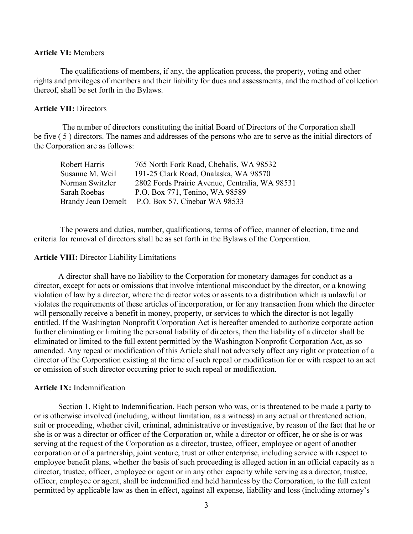# **Article VI:** Members

 The qualifications of members, if any, the application process, the property, voting and other rights and privileges of members and their liability for dues and assessments, and the method of collection thereof, shall be set forth in the Bylaws.

#### **Article VII:** Directors

 The number of directors constituting the initial Board of Directors of the Corporation shall be five ( 5 ) directors. The names and addresses of the persons who are to serve as the initial directors of the Corporation are as follows:

| Robert Harris   | 765 North Fork Road, Chehalis, WA 98532          |
|-----------------|--------------------------------------------------|
| Susanne M. Weil | 191-25 Clark Road, Onalaska, WA 98570            |
| Norman Switzler | 2802 Fords Prairie Avenue, Centralia, WA 98531   |
| Sarah Roebas    | P.O. Box 771, Tenino, WA 98589                   |
|                 | Brandy Jean Demelt P.O. Box 57, Cinebar WA 98533 |

 The powers and duties, number, qualifications, terms of office, manner of election, time and criteria for removal of directors shall be as set forth in the Bylaws of the Corporation.

#### **Article VIII:** Director Liability Limitations

 A director shall have no liability to the Corporation for monetary damages for conduct as a director, except for acts or omissions that involve intentional misconduct by the director, or a knowing violation of law by a director, where the director votes or assents to a distribution which is unlawful or violates the requirements of these articles of incorporation, or for any transaction from which the director will personally receive a benefit in money, property, or services to which the director is not legally entitled. If the Washington Nonprofit Corporation Act is hereafter amended to authorize corporate action further eliminating or limiting the personal liability of directors, then the liability of a director shall be eliminated or limited to the full extent permitted by the Washington Nonprofit Corporation Act, as so amended. Any repeal or modification of this Article shall not adversely affect any right or protection of a director of the Corporation existing at the time of such repeal or modification for or with respect to an act or omission of such director occurring prior to such repeal or modification.

#### **Article IX:** Indemnification

 Section 1. Right to Indemnification. Each person who was, or is threatened to be made a party to or is otherwise involved (including, without limitation, as a witness) in any actual or threatened action, suit or proceeding, whether civil, criminal, administrative or investigative, by reason of the fact that he or she is or was a director or officer of the Corporation or, while a director or officer, he or she is or was serving at the request of the Corporation as a director, trustee, officer, employee or agent of another corporation or of a partnership, joint venture, trust or other enterprise, including service with respect to employee benefit plans, whether the basis of such proceeding is alleged action in an official capacity as a director, trustee, officer, employee or agent or in any other capacity while serving as a director, trustee, officer, employee or agent, shall be indemnified and held harmless by the Corporation, to the full extent permitted by applicable law as then in effect, against all expense, liability and loss (including attorney's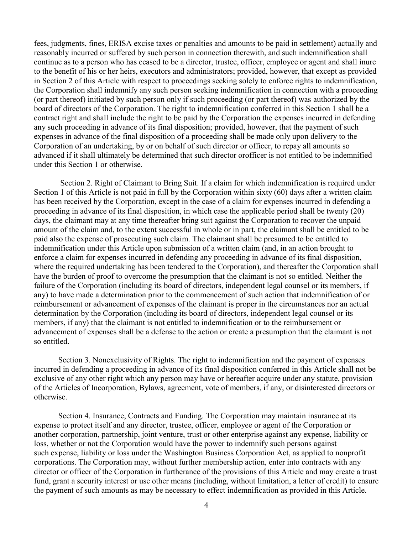fees, judgments, fines, ERISA excise taxes or penalties and amounts to be paid in settlement) actually and reasonably incurred or suffered by such person in connection therewith, and such indemnification shall continue as to a person who has ceased to be a director, trustee, officer, employee or agent and shall inure to the benefit of his or her heirs, executors and administrators; provided, however, that except as provided in Section 2 of this Article with respect to proceedings seeking solely to enforce rights to indemnification, the Corporation shall indemnify any such person seeking indemnification in connection with a proceeding (or part thereof) initiated by such person only if such proceeding (or part thereof) was authorized by the board of directors of the Corporation. The right to indemnification conferred in this Section 1 shall be a contract right and shall include the right to be paid by the Corporation the expenses incurred in defending any such proceeding in advance of its final disposition; provided, however, that the payment of such expenses in advance of the final disposition of a proceeding shall be made only upon delivery to the Corporation of an undertaking, by or on behalf of such director or officer, to repay all amounts so advanced if it shall ultimately be determined that such director orofficer is not entitled to be indemnified under this Section 1 or otherwise.

 Section 2. Right of Claimant to Bring Suit. If a claim for which indemnification is required under Section 1 of this Article is not paid in full by the Corporation within sixty (60) days after a written claim has been received by the Corporation, except in the case of a claim for expenses incurred in defending a proceeding in advance of its final disposition, in which case the applicable period shall be twenty (20) days, the claimant may at any time thereafter bring suit against the Corporation to recover the unpaid amount of the claim and, to the extent successful in whole or in part, the claimant shall be entitled to be paid also the expense of prosecuting such claim. The claimant shall be presumed to be entitled to indemnification under this Article upon submission of a written claim (and, in an action brought to enforce a claim for expenses incurred in defending any proceeding in advance of its final disposition, where the required undertaking has been tendered to the Corporation), and thereafter the Corporation shall have the burden of proof to overcome the presumption that the claimant is not so entitled. Neither the failure of the Corporation (including its board of directors, independent legal counsel or its members, if any) to have made a determination prior to the commencement of such action that indemnification of or reimbursement or advancement of expenses of the claimant is proper in the circumstances nor an actual determination by the Corporation (including its board of directors, independent legal counsel or its members, if any) that the claimant is not entitled to indemnification or to the reimbursement or advancement of expenses shall be a defense to the action or create a presumption that the claimant is not so entitled.

 Section 3. Nonexclusivity of Rights. The right to indemnification and the payment of expenses incurred in defending a proceeding in advance of its final disposition conferred in this Article shall not be exclusive of any other right which any person may have or hereafter acquire under any statute, provision of the Articles of Incorporation, Bylaws, agreement, vote of members, if any, or disinterested directors or otherwise.

 Section 4. Insurance, Contracts and Funding. The Corporation may maintain insurance at its expense to protect itself and any director, trustee, officer, employee or agent of the Corporation or another corporation, partnership, joint venture, trust or other enterprise against any expense, liability or loss, whether or not the Corporation would have the power to indemnify such persons against such expense, liability or loss under the Washington Business Corporation Act, as applied to nonprofit corporations. The Corporation may, without further membership action, enter into contracts with any director or officer of the Corporation in furtherance of the provisions of this Article and may create a trust fund, grant a security interest or use other means (including, without limitation, a letter of credit) to ensure the payment of such amounts as may be necessary to effect indemnification as provided in this Article.